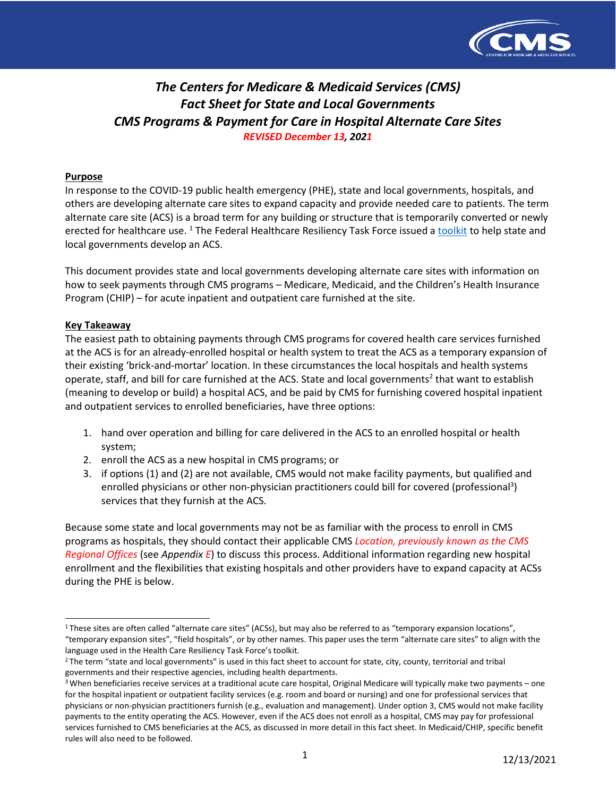

# *The Centers for Medicare & Medicaid Services (CMS) Fact Sheet for State and Local Governments CMS Programs & Payment for Care in Hospital Alternate Care Sites REVISED December 13, 2021*

### **Purpose**

In response to the COVID-19 public health emergency (PHE), state and local governments, hospitals, and others are developing alternate care sites to expand capacity and provide needed care to patients. The term alternate care site (ACS) is a broad term for any building or structure that is temporarily converted or newly erected for healthcare use. <sup>1</sup> The Federal Healthcare Resiliency Task Force issued a [toolkit](https://files.asprtracie.hhs.gov/documents/acs-toolkit-ed1-20200330-1022.pdf) to help state and local governments develop an ACS.

This document provides state and local governments developing alternate care sites with information on how to seek payments through CMS programs – Medicare, Medicaid, and the Children's Health Insurance Program (CHIP) – for acute inpatient and outpatient care furnished at the site.

### **Key Takeaway**

The easiest path to obtaining payments through CMS programs for covered health care services furnished at the ACS is for an already-enrolled hospital or health system to treat the ACS as a temporary expansion of their existing 'brick-and-mortar' location. In these circumstances the local hospitals and health systems operate, staff, and bill for care furnished at the ACS. State and local governments<sup>2</sup> that want to establish (meaning to develop or build) a hospital ACS, and be paid by CMS for furnishing covered hospital inpatient and outpatient services to enrolled beneficiaries, have three options:

- 1. hand over operation and billing for care delivered in the ACS to an enrolled hospital or health system;
- 2. enroll the ACS as a new hospital in CMS programs; or
- 3. if options (1) and (2) are not available, CMS would not make facility payments, but qualified and enrolled physicians or other non-physician practitioners could bill for covered (professional<sup>3</sup>) services that they furnish at the ACS.

Because some state and local governments may not be as familiar with the process to enroll in CMS programs as hospitals, they should contact their applicable CMS *Location, previously known as the CMS Regional Offices* (see *Appendix E*) to discuss this process. Additional information regarding new hospital enrollment and the flexibilities that existing hospitals and other providers have to expand capacity at ACSs during the PHE is below.

<span id="page-0-0"></span><sup>&</sup>lt;sup>1</sup> These sites are often called "alternate care sites" (ACSs), but may also be referred to as "temporary expansion locations", "temporary expansion sites", "field hospitals", or by other names. This paper uses the term "alternate care sites" to align with the language used in the Health Care Resiliency Task Force's toolkit.

<span id="page-0-1"></span><sup>&</sup>lt;sup>2</sup> The term "state and local governments" is used in this fact sheet to account for state, city, county, territorial and tribal governments and their respective agencies, including health departments.

<span id="page-0-2"></span><sup>&</sup>lt;sup>3</sup> When beneficiaries receive services at a traditional acute care hospital, Original Medicare will typically make two payments – one for the hospital inpatient or outpatient facility services (e.g. room and board or nursing) and one for professional services that physicians or non-physician practitioners furnish (e.g., evaluation and management). Under option 3, CMS would not make facility payments to the entity operating the ACS. However, even if the ACS does not enroll as a hospital, CMS may pay for professional services furnished to CMS beneficiaries at the ACS, as discussed in more detail in this fact sheet. In Medicaid/CHIP, specific benefit rules will also need to be followed.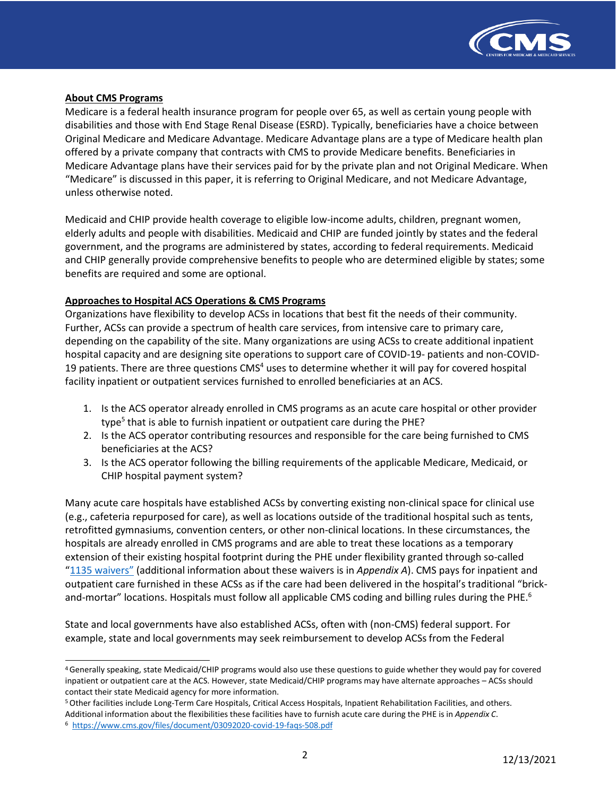

### **About CMS Programs**

Medicare is a federal health insurance program for people over 65, as well as certain young people with disabilities and those with End Stage Renal Disease (ESRD). Typically, beneficiaries have a choice between Original Medicare and Medicare Advantage. Medicare Advantage plans are a type of Medicare health plan offered by a private company that contracts with CMS to provide Medicare benefits. Beneficiaries in Medicare Advantage plans have their services paid for by the private plan and not Original Medicare. When "Medicare" is discussed in this paper, it is referring to Original Medicare, and not Medicare Advantage, unless otherwise noted.

Medicaid and CHIP provide health coverage to eligible low-income adults, children, pregnant women, elderly adults and people with disabilities. Medicaid and CHIP are funded jointly by states and the federal government, and the programs are administered by states, according to federal requirements. Medicaid and CHIP generally provide comprehensive benefits to people who are determined eligible by states; some benefits are required and some are optional.

### **Approaches to Hospital ACS Operations & CMS Programs**

Organizations have flexibility to develop ACSs in locations that best fit the needs of their community. Further, ACSs can provide a spectrum of health care services, from intensive care to primary care, depending on the capability of the site. Many organizations are using ACSs to create additional inpatient hospital capacity and are designing site operations to support care of COVID-19- patients and non-COVID-19 patients. There are three questions  $CMS<sup>4</sup>$  uses to determine whether it will pay for covered hospital facility inpatient or outpatient services furnished to enrolled beneficiaries at an ACS.

- 1. Is the ACS operator already enrolled in CMS programs as an acute care hospital or other provider type<sup>5</sup> that is able to furnish inpatient or outpatient care during the PHE?
- 2. Is the ACS operator contributing resources and responsible for the care being furnished to CMS beneficiaries at the ACS?
- 3. Is the ACS operator following the billing requirements of the applicable Medicare, Medicaid, or CHIP hospital payment system?

Many acute care hospitals have established ACSs by converting existing non-clinical space for clinical use (e.g., cafeteria repurposed for care), as well as locations outside of the traditional hospital such as tents, retrofitted gymnasiums, convention centers, or other non-clinical locations. In these circumstances, the hospitals are already enrolled in CMS programs and are able to treat these locations as a temporary extension of their existing hospital footprint during the PHE under flexibility granted through so-called ["1135 waivers"](https://www.cms.gov/files/document/summary-covid-19-emergency-declaration-waivers.pdf) (additional information about these waivers is in *Appendix A*). CMS pays for inpatient and outpatient care furnished in these ACSs as if the care had been delivered in the hospital's traditional "brickand-mortar" locations. Hospitals must follow all applicable CMS coding and billing rules during the PHE.<sup>6</sup>

State and local governments have also established ACSs, often with (non-CMS) federal support. For example, state and local governments may seek reimbursement to develop ACSs from the Federal

<span id="page-1-0"></span><sup>4</sup> Generally speaking, state Medicaid/CHIP programs would also use these questions to guide whether they would pay for covered inpatient or outpatient care at the ACS. However, state Medicaid/CHIP programs may have alternate approaches – ACSs should contact their state Medicaid agency for more information.

<span id="page-1-1"></span><sup>5</sup> Other facilities include Long-Term Care Hospitals, Critical Access Hospitals, Inpatient Rehabilitation Facilities, and others.

Additional information about the flexibilities these facilities have to furnish acute care during the PHE is in *Appendix C*.

<span id="page-1-2"></span><sup>6</sup> <https://www.cms.gov/files/document/03092020-covid-19-faqs-508.pdf>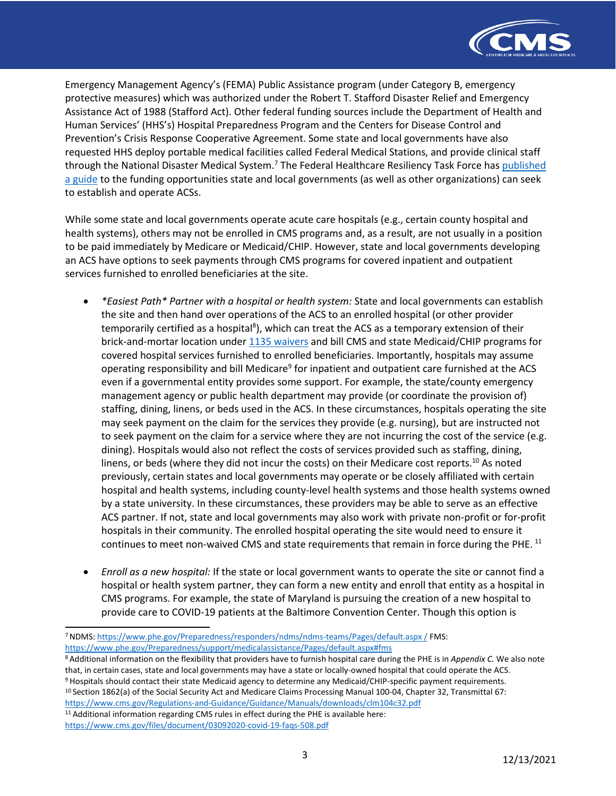

Emergency Management Agency's (FEMA) Public Assistance program (under Category B, emergency protective measures) which was authorized under the Robert T. Stafford Disaster Relief and Emergency Assistance Act of 1988 (Stafford Act). Other federal funding sources include the Department of Health and Human Services' (HHS's) Hospital Preparedness Program and the Centers for Disease Control and Prevention's Crisis Response Cooperative Agreement. Some state and local governments have also requested HHS deploy portable medical facilities called Federal Medical Stations, and provide clinical staff through the National Disaster Medical System.<sup>7</sup> The Federal Healthcare Resiliency Task Force has [published](https://files.asprtracie.hhs.gov/documents/aspr-tracie-acs-funding-sources-establishment-and-operationalization.pdf) [a guide](https://files.asprtracie.hhs.gov/documents/aspr-tracie-acs-funding-sources-establishment-and-operationalization.pdf) to the funding opportunities state and local governments (as well as other organizations) can seek to establish and operate ACSs.

While some state and local governments operate acute care hospitals (e.g., certain county hospital and health systems), others may not be enrolled in CMS programs and, as a result, are not usually in a position to be paid immediately by Medicare or Medicaid/CHIP. However, state and local governments developing an ACS have options to seek payments through CMS programs for covered inpatient and outpatient services furnished to enrolled beneficiaries at the site.

- *\*Easiest Path\* Partner with a hospital or health system:* State and local governments can establish the site and then hand over operations of the ACS to an enrolled hospital (or other provider temporarily certified as a hospital<sup>8</sup>), which can treat the ACS as a temporary extension of their brick-and-mortar location under [1135 waivers](https://www.cms.gov/files/document/summary-covid-19-emergency-declaration-waivers.pdf) and bill CMS and state Medicaid/CHIP programs for covered hospital services furnished to enrolled beneficiaries. Importantly, hospitals may assume operating responsibility and bill Medicare<sup>9</sup> for inpatient and outpatient care furnished at the ACS even if a governmental entity provides some support. For example, the state/county emergency management agency or public health department may provide (or coordinate the provision of) staffing, dining, linens, or beds used in the ACS. In these circumstances, hospitals operating the site may seek payment on the claim for the services they provide (e.g. nursing), but are instructed not to seek payment on the claim for a service where they are not incurring the cost of the service (e.g. dining). Hospitals would also not reflect the costs of services provided such as staffing, dining, linens, or beds (where they did not incur the costs) on their Medicare cost reports.<sup>10</sup> As noted previously, certain states and local governments may operate or be closely affiliated with certain hospital and health systems, including county-level health systems and those health systems owned by a state university. In these circumstances, these providers may be able to serve as an effective ACS partner. If not, state and local governments may also work with private non-profit or for-profit hospitals in their community. The enrolled hospital operating the site would need to ensure it continues to meet non-waived CMS and state requirements that remain in force during the PHE.<sup>[11](#page-2-4)</sup>
- *Enroll as a new hospital:* If the state or local government wants to operate the site or cannot find a hospital or health system partner, they can form a new entity and enroll that entity as a hospital in CMS programs. For example, the state of Maryland is pursuing the creation of a new hospital to provide care to COVID-19 patients at the Baltimore Convention Center. Though this option is

<span id="page-2-2"></span><span id="page-2-1"></span>8 Additional information on the flexibility that providers have to furnish hospital care during the PHE is in *Appendix C.* We also note that, in certain cases, state and local governments may have a state or locally-owned hospital that could operate the ACS. 9 Hospitals should contact their state Medicaid agency to determine any Medicaid/CHIP-specific payment requirements. 10 Section 1862(a) of the Social Security Act and Medicare Claims Processing Manual 100-04, Chapter 32, Transmittal 67:

<span id="page-2-3"></span><https://www.cms.gov/Regulations-and-Guidance/Guidance/Manuals/downloads/clm104c32.pdf>

<span id="page-2-4"></span><sup>11</sup> Additional information regarding CMS rules in effect during the PHE is available here: <https://www.cms.gov/files/document/03092020-covid-19-faqs-508.pdf>

<span id="page-2-0"></span><sup>7</sup> NDMS: [https://www.phe.gov/Preparedness/responders/ndms/ndms-teams/Pages/default.aspx /](https://www.phe.gov/Preparedness/responders/ndms/ndms-teams/Pages/default.aspx/) FMS: <https://www.phe.gov/Preparedness/support/medicalassistance/Pages/default.aspx#fms>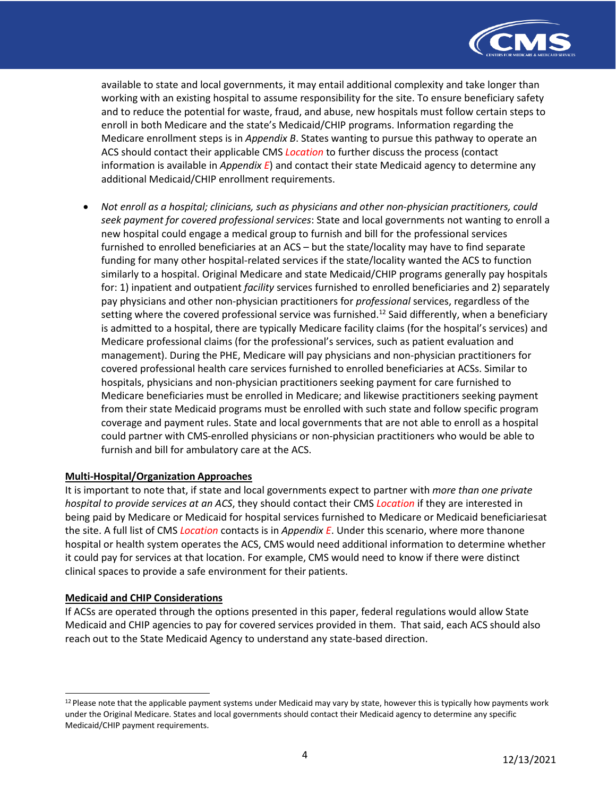

available to state and local governments, it may entail additional complexity and take longer than working with an existing hospital to assume responsibility for the site. To ensure beneficiary safety and to reduce the potential for waste, fraud, and abuse, new hospitals must follow certain steps to enroll in both Medicare and the state's Medicaid/CHIP programs. Information regarding the Medicare enrollment steps is in *Appendix B*. States wanting to pursue this pathway to operate an ACS should contact their applicable CMS *Location* to further discuss the process (contact information is available in *Appendix E*) and contact their state Medicaid agency to determine any additional Medicaid/CHIP enrollment requirements.

• *Not enroll as a hospital; clinicians, such as physicians and other non-physician practitioners, could seek payment for covered professional services*: State and local governments not wanting to enroll a new hospital could engage a medical group to furnish and bill for the professional services furnished to enrolled beneficiaries at an ACS – but the state/locality may have to find separate funding for many other hospital-related services if the state/locality wanted the ACS to function similarly to a hospital. Original Medicare and state Medicaid/CHIP programs generally pay hospitals for: 1) inpatient and outpatient *facility* services furnished to enrolled beneficiaries and 2) separately pay physicians and other non-physician practitioners for *professional* services, regardless of the setting where the covered professional service was furnished.<sup>12</sup> Said differently, when a beneficiary is admitted to a hospital, there are typically Medicare facility claims (for the hospital's services) and Medicare professional claims (for the professional's services, such as patient evaluation and management). During the PHE, Medicare will pay physicians and non-physician practitioners for covered professional health care services furnished to enrolled beneficiaries at ACSs. Similar to hospitals, physicians and non-physician practitioners seeking payment for care furnished to Medicare beneficiaries must be enrolled in Medicare; and likewise practitioners seeking payment from their state Medicaid programs must be enrolled with such state and follow specific program coverage and payment rules. State and local governments that are not able to enroll as a hospital could partner with CMS-enrolled physicians or non-physician practitioners who would be able to furnish and bill for ambulatory care at the ACS.

### **Multi-Hospital/Organization Approaches**

It is important to note that, if state and local governments expect to partner with *more than one private hospital to provide services at an ACS*, they should contact their CMS *Location* if they are interested in being paid by Medicare or Medicaid for hospital services furnished to Medicare or Medicaid beneficiariesat the site. A full list of CMS *Location* contacts is in *Appendix E*. Under this scenario, where more thanone hospital or health system operates the ACS, CMS would need additional information to determine whether it could pay for services at that location. For example, CMS would need to know if there were distinct clinical spaces to provide a safe environment for their patients.

### **Medicaid and CHIP Considerations**

If ACSs are operated through the options presented in this paper, federal regulations would allow State Medicaid and CHIP agencies to pay for covered services provided in them. That said, each ACS should also reach out to the State Medicaid Agency to understand any state-based direction.

<span id="page-3-0"></span><sup>&</sup>lt;sup>12</sup> Please note that the applicable payment systems under Medicaid may vary by state, however this is typically how payments work under the Original Medicare. States and local governments should contact their Medicaid agency to determine any specific Medicaid/CHIP payment requirements.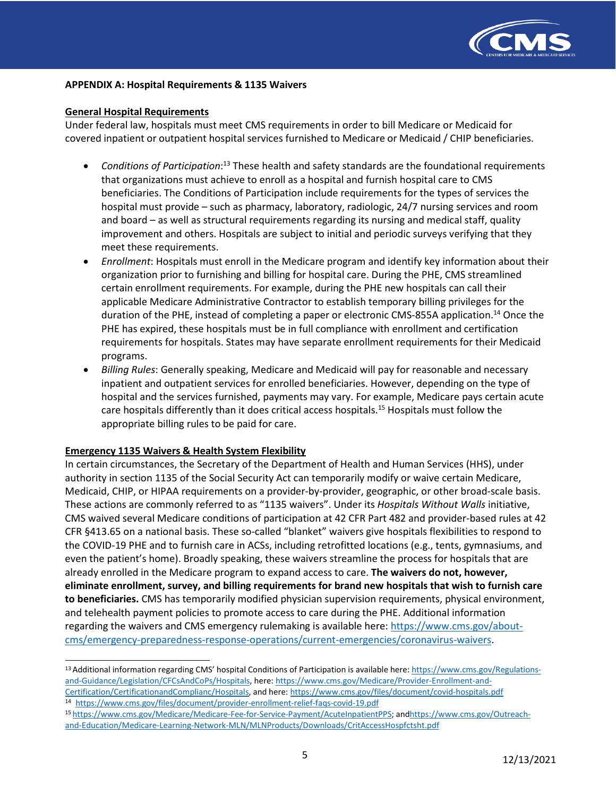

#### **APPENDIX A: Hospital Requirements & 1135 Waivers**

#### **General Hospital Requirements**

Under federal law, hospitals must meet CMS requirements in order to bill Medicare or Medicaid for covered inpatient or outpatient hospital services furnished to Medicare or Medicaid / CHIP beneficiaries.

- *Conditions of Participation*: [13](#page-4-0) These health and safety standards are the foundational requirements that organizations must achieve to enroll as a hospital and furnish hospital care to CMS beneficiaries. The Conditions of Participation include requirements for the types of services the hospital must provide – such as pharmacy, laboratory, radiologic, 24/7 nursing services and room and board – as well as structural requirements regarding its nursing and medical staff, quality improvement and others. Hospitals are subject to initial and periodic surveys verifying that they meet these requirements.
- *Enrollment*: Hospitals must enroll in the Medicare program and identify key information about their organization prior to furnishing and billing for hospital care. During the PHE, CMS streamlined certain enrollment requirements. For example, during the PHE new hospitals can call their applicable Medicare Administrative Contractor to establish temporary billing privileges for the duration of the PHE, instead of completing a paper or electronic CMS-855A application[.14](#page-4-1) Once the PHE has expired, these hospitals must be in full compliance with enrollment and certification requirements for hospitals. States may have separate enrollment requirements for their Medicaid programs.
- *Billing Rules*: Generally speaking, Medicare and Medicaid will pay for reasonable and necessary inpatient and outpatient services for enrolled beneficiaries. However, depending on the type of hospital and the services furnished, payments may vary. For example, Medicare pays certain acute care hospitals differently than it does critical access hospitals.<sup>15</sup> Hospitals must follow the appropriate billing rules to be paid for care.

### **Emergency 1135 Waivers & Health System Flexibility**

In certain circumstances, the Secretary of the Department of Health and Human Services (HHS), under authority in section 1135 of the Social Security Act can temporarily modify or waive certain Medicare, Medicaid, CHIP, or HIPAA requirements on a provider-by-provider, geographic, or other broad-scale basis. These actions are commonly referred to as "1135 waivers". Under its *Hospitals Without Walls* initiative, CMS waived several Medicare conditions of participation at 42 CFR Part 482 and provider-based rules at 42 CFR §413.65 on a national basis. These so-called "blanket" waivers give hospitals flexibilities to respond to the COVID-19 PHE and to furnish care in ACSs, including retrofitted locations (e.g., tents, gymnasiums, and even the patient's home). Broadly speaking, these waivers streamline the process for hospitals that are already enrolled in the Medicare program to expand access to care. **The waivers do not, however, eliminate enrollment, survey, and billing requirements for brand new hospitals that wish to furnish care to beneficiaries.** CMS has temporarily modified physician supervision requirements, physical environment, and telehealth payment policies to promote access to care during the PHE. Additional information regarding the waivers and CMS emergency rulemaking is available here: [https://www.cms.gov/about](https://www.cms.gov/about-cms/emergency-preparedness-response-operations/current-emergencies/coronavirus-waivers)[cms/emergency-preparedness-response-operations/current-emergencies/coronavirus-waivers.](https://www.cms.gov/about-cms/emergency-preparedness-response-operations/current-emergencies/coronavirus-waivers)

<span id="page-4-2"></span><span id="page-4-1"></span><sup>15</sup> [https://www.cms.gov/Medicare/Medicare-Fee-for-Service-Payment/AcuteInpatientPPS;](https://www.cms.gov/Medicare/Medicare-Fee-for-Service-Payment/AcuteInpatientPPS) an[dhttps://www.cms.gov/Outreach](https://www.cms.gov/Outreach-and-Education/Medicare-Learning-Network-MLN/MLNProducts/Downloads/CritAccessHospfctsht.pdf)[and-Education/Medicare-Learning-Network-MLN/MLNProducts/Downloads/CritAccessHospfctsht.pdf](https://www.cms.gov/Outreach-and-Education/Medicare-Learning-Network-MLN/MLNProducts/Downloads/CritAccessHospfctsht.pdf)

<span id="page-4-0"></span><sup>13</sup> Additional information regarding CMS' hospital Conditions of Participation is available here[: https://www.cms.gov/Regulations](https://www.cms.gov/Regulations-and-Guidance/Legislation/CFCsAndCoPs/Hospitals)[and-Guidance/Legislation/CFCsAndCoPs/Hospitals, h](https://www.cms.gov/Regulations-and-Guidance/Legislation/CFCsAndCoPs/Hospitals)ere: [https://www.cms.gov/Medicare/Provider-Enrollment-and-](https://www.cms.gov/Medicare/Provider-Enrollment-and-Certification/CertificationandComplianc/Hospitals)[Certification/CertificationandComplianc/Hospitals,](https://www.cms.gov/Medicare/Provider-Enrollment-and-Certification/CertificationandComplianc/Hospitals) and here[: https://www.cms.gov/files/document/covid-hospitals.pdf](https://www.cms.gov/files/document/covid-hospitals.pdf) <sup>14</sup> <https://www.cms.gov/files/document/provider-enrollment-relief-faqs-covid-19.pdf>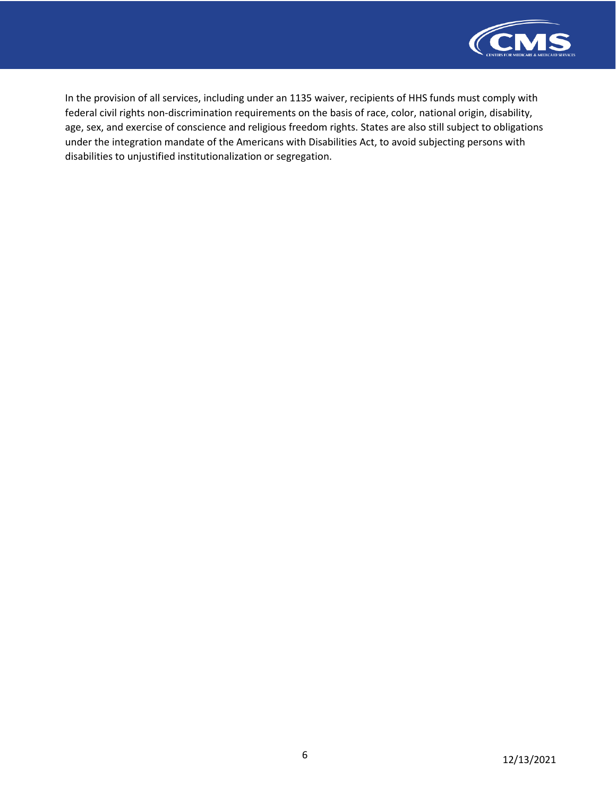

In the provision of all services, including under an 1135 waiver, recipients of HHS funds must comply with federal civil rights non-discrimination requirements on the basis of race, color, national origin, disability, age, sex, and exercise of conscience and religious freedom rights. States are also still subject to obligations under the integration mandate of the Americans with Disabilities Act, to avoid subjecting persons with disabilities to unjustified institutionalization or segregation.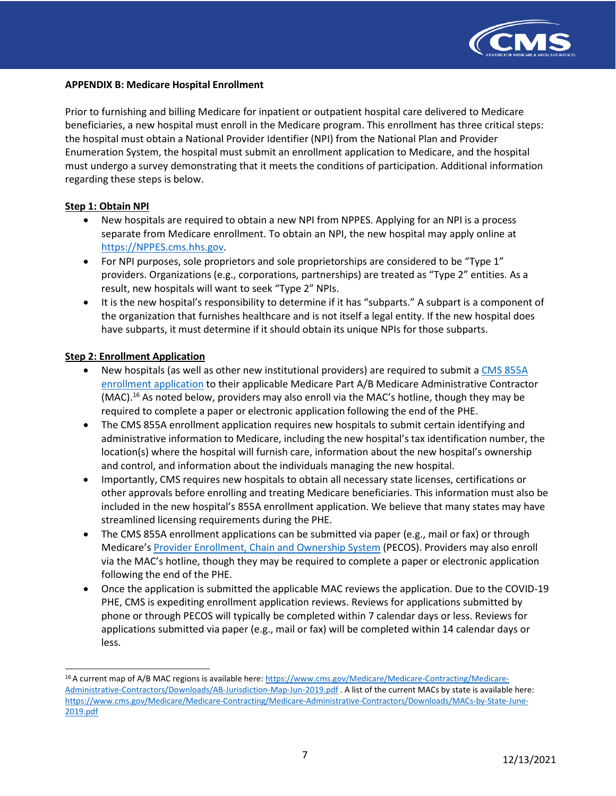

#### **APPENDIX B: Medicare Hospital Enrollment**

Prior to furnishing and billing Medicare for inpatient or outpatient hospital care delivered to Medicare beneficiaries, a new hospital must enroll in the Medicare program. This enrollment has three critical steps: the hospital must obtain a National Provider Identifier (NPI) from the National Plan and Provider Enumeration System, the hospital must submit an enrollment application to Medicare, and the hospital must undergo a survey demonstrating that it meets the conditions of participation. Additional information regarding these steps is below.

### **Step 1: Obtain NPI**

- New hospitals are required to obtain a new NPI from NPPES. Applying for an NPI is a process separate from Medicare enrollment. To obtain an NPI, the new hospital may apply online at [https://NPPES.cms.hhs.gov.](https://nppes.cms.hhs.gov/)
- For NPI purposes, sole proprietors and sole proprietorships are considered to be "Type 1" providers. Organizations (e.g., corporations, partnerships) are treated as "Type 2" entities. As a result, new hospitals will want to seek "Type 2" NPIs.
- It is the new hospital's responsibility to determine if it has "subparts." A subpart is a component of the organization that furnishes healthcare and is not itself a legal entity. If the new hospital does have subparts, it must determine if it should obtain its unique NPIs for those subparts.

#### **Step 2: Enrollment Application**

- New hospitals (as well as other new institutional providers) are required to submit a [CMS 855A](https://www.cms.gov/medicare/cms-forms/cms-forms/downloads/cms855a.pdf) [enrollment application](https://www.cms.gov/medicare/cms-forms/cms-forms/downloads/cms855a.pdf) to their applicable Medicare Part A/B Medicare Administrative Contractor (MAC).<sup>16</sup> As noted below, providers may also enroll via the MAC's hotline, though they may be required to complete a paper or electronic application following the end of the PHE.
- The CMS 855A enrollment application requires new hospitals to submit certain identifying and administrative information to Medicare, including the new hospital's tax identification number, the location(s) where the hospital will furnish care, information about the new hospital's ownership and control, and information about the individuals managing the new hospital.
- Importantly, CMS requires new hospitals to obtain all necessary state licenses, certifications or other approvals before enrolling and treating Medicare beneficiaries. This information must also be included in the new hospital's 855A enrollment application. We believe that many states may have streamlined licensing requirements during the PHE.
- The CMS 855A enrollment applications can be submitted via paper (e.g., mail or fax) or through Medicare's [Provider Enrollment, Chain and Ownership System](https://pecos.cms.hhs.gov/pecos/login.do#headingLv1) (PECOS). Providers may also enroll via the MAC's hotline, though they may be required to complete a paper or electronic application following the end of the PHE.
- Once the application is submitted the applicable MAC reviews the application. Due to the COVID-19 PHE, CMS is expediting enrollment application reviews. Reviews for applications submitted by phone or through PECOS will typically be completed within 7 calendar days or less. Reviews for applications submitted via paper (e.g., mail or fax) will be completed within 14 calendar days or less.

<span id="page-6-0"></span><sup>16</sup> A current map of A/B MAC regions is available here: [https://www.cms.gov/Medicare/Medicare-Contracting/Medicare-](https://www.cms.gov/Medicare/Medicare-Contracting/Medicare-Administrative-Contractors/Downloads/AB-Jurisdiction-Map-Jun-2019.pdf)[Administrative-Contractors/Downloads/AB-Jurisdiction-Map-Jun-2019.pdf](https://www.cms.gov/Medicare/Medicare-Contracting/Medicare-Administrative-Contractors/Downloads/AB-Jurisdiction-Map-Jun-2019.pdf) . A list of the current MACs by state is available here: [https://www.cms.gov/Medicare/Medicare-Contracting/Medicare-Administrative-Contractors/Downloads/MACs-by-State-June-](https://www.cms.gov/Medicare/Medicare-Contracting/Medicare-Administrative-Contractors/Downloads/MACs-by-State-June-2019.pdf)[2019.pdf](https://www.cms.gov/Medicare/Medicare-Contracting/Medicare-Administrative-Contractors/Downloads/MACs-by-State-June-2019.pdf)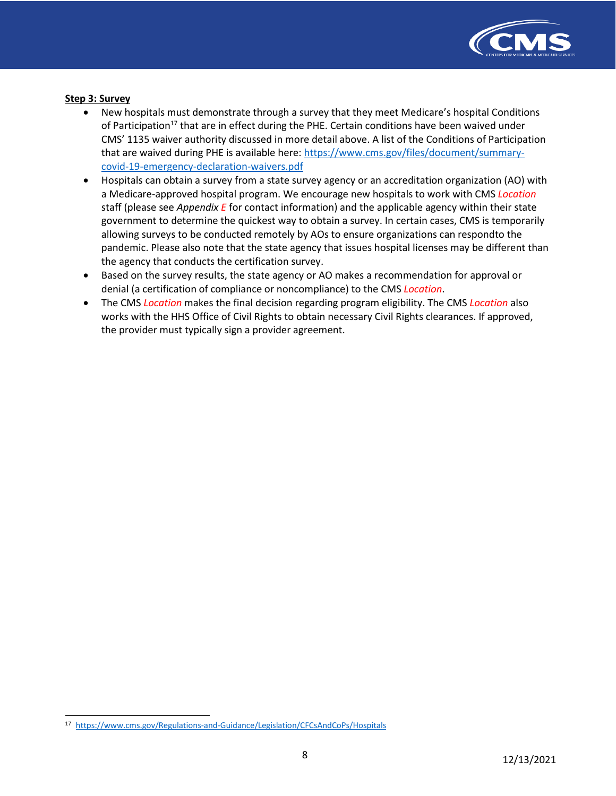

### **Step 3: Survey**

- New hospitals must demonstrate through a survey that they meet Medicare's hospital Conditions of Participation<sup>17</sup> that are in effect during the PHE. Certain conditions have been waived under CMS' 1135 waiver authority discussed in more detail above. A list of the Conditions of Participation that are waived during PHE is available here: [https://www.cms.gov/files/document/summary](https://www.cms.gov/files/document/summary-covid-19-emergency-declaration-waivers.pdf)[covid-19-emergency-declaration-waivers.pdf](https://www.cms.gov/files/document/summary-covid-19-emergency-declaration-waivers.pdf)
- Hospitals can obtain a survey from a state survey agency or an accreditation organization (AO) with a Medicare-approved hospital program. We encourage new hospitals to work with CMS *Location* staff (please see *Appendix E* for contact information) and the applicable agency within their state government to determine the quickest way to obtain a survey. In certain cases, CMS is temporarily allowing surveys to be conducted remotely by AOs to ensure organizations can respondto the pandemic. Please also note that the state agency that issues hospital licenses may be different than the agency that conducts the certification survey.
- Based on the survey results, the state agency or AO makes a recommendation for approval or denial (a certification of compliance or noncompliance) to the CMS *Location*.
- The CMS *Location* makes the final decision regarding program eligibility. The CMS *Location* also works with the HHS Office of Civil Rights to obtain necessary Civil Rights clearances. If approved, the provider must typically sign a provider agreement.

<span id="page-7-0"></span><sup>17</sup> <https://www.cms.gov/Regulations-and-Guidance/Legislation/CFCsAndCoPs/Hospitals>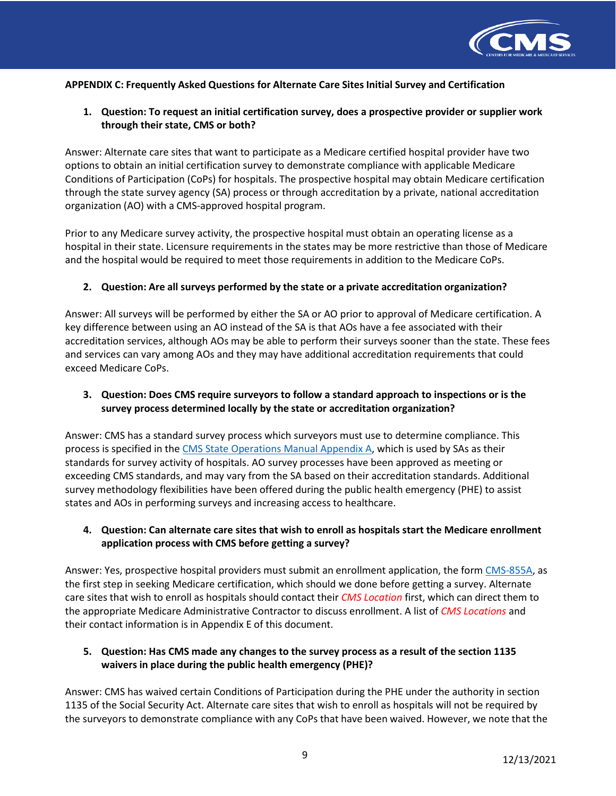

### **APPENDIX C: Frequently Asked Questions for Alternate Care SitesInitial Survey and Certification**

## **1. Question: To request an initial certification survey, does a prospective provider or supplier work through their state, CMS or both?**

Answer: Alternate care sites that want to participate as a Medicare certified hospital provider have two options to obtain an initial certification survey to demonstrate compliance with applicable Medicare Conditions of Participation (CoPs) for hospitals. The prospective hospital may obtain Medicare certification through the state survey agency (SA) process or through accreditation by a private, national accreditation organization (AO) with a CMS-approved hospital program.

Prior to any Medicare survey activity, the prospective hospital must obtain an operating license as a hospital in their state. Licensure requirements in the states may be more restrictive than those of Medicare and the hospital would be required to meet those requirements in addition to the Medicare CoPs.

### **2. Question: Are all surveys performed by the state or a private accreditation organization?**

Answer: All surveys will be performed by either the SA or AO prior to approval of Medicare certification. A key difference between using an AO instead of the SA is that AOs have a fee associated with their accreditation services, although AOs may be able to perform their surveys sooner than the state. These fees and services can vary among AOs and they may have additional accreditation requirements that could exceed Medicare CoPs.

## **3. Question: Does CMS require surveyors to follow a standard approach to inspections or is the survey process determined locally by the state or accreditation organization?**

Answer: CMS has a standard survey process which surveyors must use to determine compliance. This process is specified in the [CMS State Operations Manual Appendix A, w](https://www.cms.gov/Regulations-and-Guidance/Guidance/Manuals/downloads/som107ap_a_hospitals.pdf)hich is used by SAs as their standards for survey activity of hospitals. AO survey processes have been approved as meeting or exceeding CMS standards, and may vary from the SA based on their accreditation standards. Additional survey methodology flexibilities have been offered during the public health emergency (PHE) to assist states and AOs in performing surveys and increasing access to healthcare.

## **4. Question: Can alternate care sites that wish to enroll as hospitals start the Medicare enrollment application process with CMS before getting a survey?**

Answer: Yes, prospective hospital providers must submit an enrollment application, the for[m CMS-855A, a](https://www.cms.gov/Medicare/Provider-Enrollment-and-Certification/Enrollment-Applications)s the first step in seeking Medicare certification, which should we done before getting a survey. Alternate care sites that wish to enroll as hospitals should contact their *CMS Location* first, which can direct them to the appropriate Medicare Administrative Contractor to discuss enrollment. A list of *CMS Locations* and their contact information is in Appendix E of this document.

## **5. Question: Has CMS made any changes to the survey process as a result of the section 1135 waivers in place during the public health emergency (PHE)?**

Answer: CMS has waived certain Conditions of Participation during the PHE under the authority in section 1135 of the Social Security Act. Alternate care sites that wish to enroll as hospitals will not be required by the surveyors to demonstrate compliance with any CoPs that have been waived. However, we note that the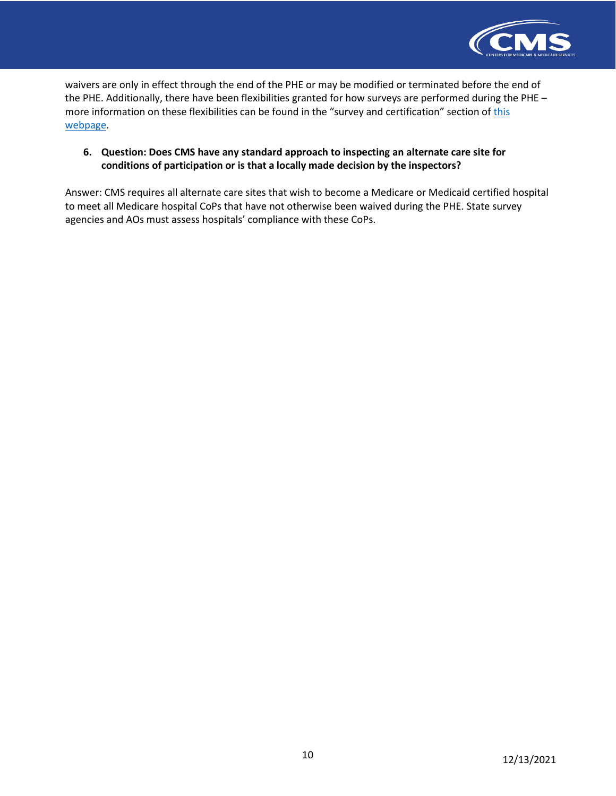

waivers are only in effect through the end of the PHE or may be modified or terminated before the end of the PHE. Additionally, there have been flexibilities granted for how surveys are performed during the PHE – more information on these flexibilities can be found in the "survey and certification" section o[f this](https://www.cms.gov/About-CMS/Agency-Information/Emergency/EPRO/Current-Emergencies/Current-Emergencies-page) [webpage.](https://www.cms.gov/About-CMS/Agency-Information/Emergency/EPRO/Current-Emergencies/Current-Emergencies-page)

## **6. Question: Does CMS have any standard approach to inspecting an alternate care site for conditions of participation or is that a locally made decision by the inspectors?**

Answer: CMS requires all alternate care sites that wish to become a Medicare or Medicaid certified hospital to meet all Medicare hospital CoPs that have not otherwise been waived during the PHE. State survey agencies and AOs must assess hospitals' compliance with these CoPs.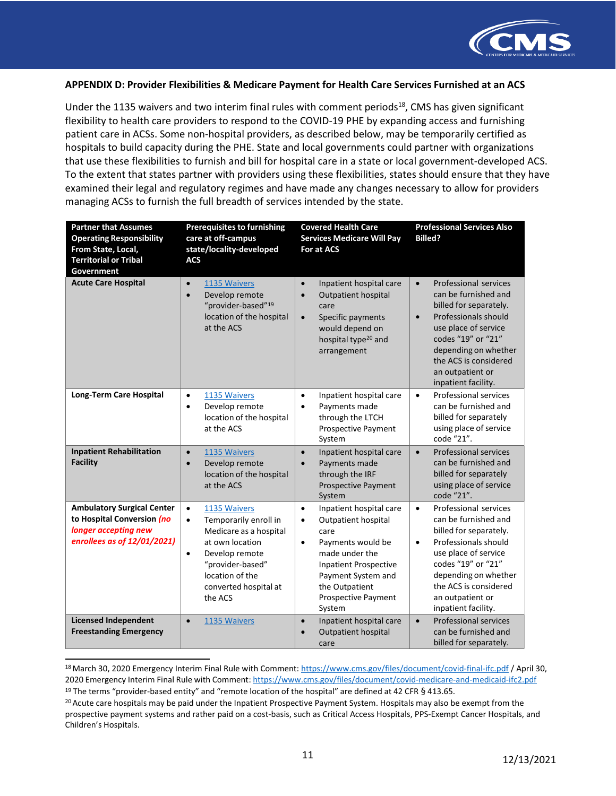

#### **APPENDIX D: Provider Flexibilities & Medicare Payment for Health Care Services Furnished at an ACS**

Under the 1135 waivers and two interim final rules with comment periods<sup>18</sup>, CMS has given significant flexibility to health care providers to respond to the COVID-19 PHE by expanding access and furnishing patient care in ACSs. Some non-hospital providers, as described below, may be temporarily certified as hospitals to build capacity during the PHE. State and local governments could partner with organizations that use these flexibilities to furnish and bill for hospital care in a state or local government-developed ACS. To the extent that states partner with providers using these flexibilities, states should ensure that they have examined their legal and regulatory regimes and have made any changes necessary to allow for providers managing ACSs to furnish the full breadth of services intended by the state.

| <b>Partner that Assumes</b><br><b>Operating Responsibility</b><br>From State, Local,<br><b>Territorial or Tribal</b><br>Government | <b>Prerequisites to furnishing</b><br>care at off-campus<br>state/locality-developed<br><b>ACS</b>                                                                                                                     | <b>Covered Health Care</b><br><b>Services Medicare Will Pay</b><br>For at ACS                                                                                                                                                                 | <b>Professional Services Also</b><br><b>Billed?</b>                                                                                                                                                                                                                 |
|------------------------------------------------------------------------------------------------------------------------------------|------------------------------------------------------------------------------------------------------------------------------------------------------------------------------------------------------------------------|-----------------------------------------------------------------------------------------------------------------------------------------------------------------------------------------------------------------------------------------------|---------------------------------------------------------------------------------------------------------------------------------------------------------------------------------------------------------------------------------------------------------------------|
| <b>Acute Care Hospital</b>                                                                                                         | 1135 Waivers<br>$\bullet$<br>Develop remote<br>$\bullet$<br>"provider-based" <sup>19</sup><br>location of the hospital<br>at the ACS                                                                                   | Inpatient hospital care<br>$\bullet$<br>Outpatient hospital<br>$\bullet$<br>care<br>Specific payments<br>$\bullet$<br>would depend on<br>hospital type <sup>20</sup> and<br>arrangement                                                       | Professional services<br>$\bullet$<br>can be furnished and<br>billed for separately.<br>Professionals should<br>$\bullet$<br>use place of service<br>codes "19" or "21"<br>depending on whether<br>the ACS is considered<br>an outpatient or<br>inpatient facility. |
| <b>Long-Term Care Hospital</b>                                                                                                     | 1135 Waivers<br>$\bullet$<br>Develop remote<br>$\bullet$<br>location of the hospital<br>at the ACS                                                                                                                     | $\bullet$<br>Inpatient hospital care<br>Payments made<br>$\bullet$<br>through the LTCH<br>Prospective Payment<br>System                                                                                                                       | <b>Professional services</b><br>$\bullet$<br>can be furnished and<br>billed for separately<br>using place of service<br>code "21".                                                                                                                                  |
| <b>Inpatient Rehabilitation</b><br><b>Facility</b>                                                                                 | 1135 Waivers<br>$\bullet$<br>Develop remote<br>$\bullet$<br>location of the hospital<br>at the ACS                                                                                                                     | $\bullet$<br>Inpatient hospital care<br>Payments made<br>$\bullet$<br>through the IRF<br><b>Prospective Payment</b><br>System                                                                                                                 | <b>Professional services</b><br>$\bullet$<br>can be furnished and<br>billed for separately<br>using place of service<br>code "21".                                                                                                                                  |
| <b>Ambulatory Surgical Center</b><br>to Hospital Conversion (no<br>longer accepting new<br>enrollees as of 12/01/2021)             | $\bullet$<br>1135 Waivers<br>Temporarily enroll in<br>$\bullet$<br>Medicare as a hospital<br>at own location<br>Develop remote<br>$\bullet$<br>"provider-based"<br>location of the<br>converted hospital at<br>the ACS | Inpatient hospital care<br>$\bullet$<br>Outpatient hospital<br>$\bullet$<br>care<br>Payments would be<br>$\bullet$<br>made under the<br><b>Inpatient Prospective</b><br>Payment System and<br>the Outpatient<br>Prospective Payment<br>System | Professional services<br>$\bullet$<br>can be furnished and<br>billed for separately.<br>Professionals should<br>$\bullet$<br>use place of service<br>codes "19" or "21"<br>depending on whether<br>the ACS is considered<br>an outpatient or<br>inpatient facility. |
| <b>Licensed Independent</b><br><b>Freestanding Emergency</b>                                                                       | 1135 Waivers<br>$\bullet$                                                                                                                                                                                              | Inpatient hospital care<br>$\bullet$<br>Outpatient hospital<br>$\bullet$<br>care                                                                                                                                                              | Professional services<br>$\bullet$<br>can be furnished and<br>billed for separately.                                                                                                                                                                                |

<span id="page-10-0"></span><sup>18</sup> March 30, 2020 Emergency Interim Final Rule with Comment[: https://www.cms.gov/files/document/covid-final-ifc.pdf](https://www.cms.gov/files/document/covid-final-ifc.pdf) / April 30, 2020 Emergency Interim Final Rule with Comment: <https://www.cms.gov/files/document/covid-medicare-and-medicaid-ifc2.pdf> <sup>19</sup> The terms "provider-based entity" and "remote location of the hospital" are defined at 42 CFR § 413.65.

<span id="page-10-2"></span><span id="page-10-1"></span> $20$  Acute care hospitals may be paid under the Inpatient Prospective Payment System. Hospitals may also be exempt from the prospective payment systems and rather paid on a cost-basis, such as Critical Access Hospitals, PPS-Exempt Cancer Hospitals, and Children's Hospitals.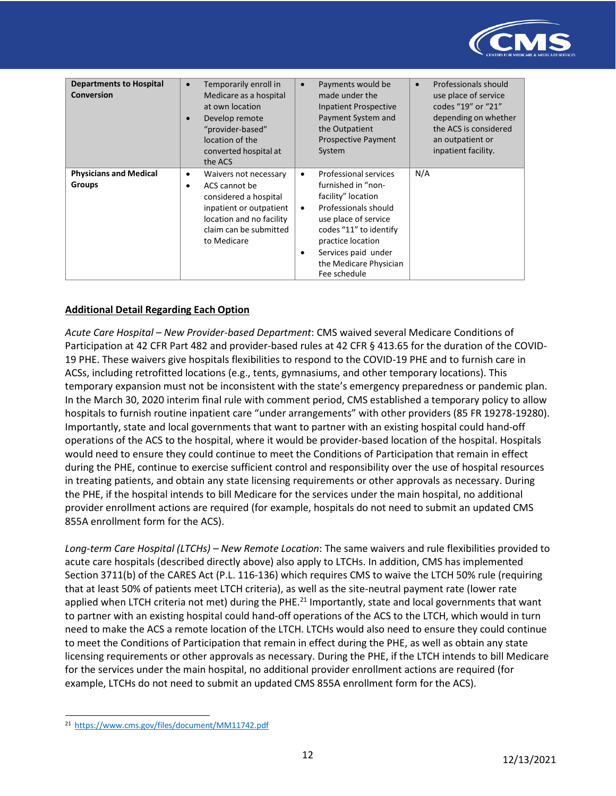

| <b>Departments to Hospital</b><br><b>Conversion</b> | Temporarily enroll in<br>$\bullet$<br>Medicare as a hospital<br>at own location<br>Develop remote<br>"provider-based"<br>location of the<br>converted hospital at<br>the ACS | Payments would be<br>$\bullet$<br>made under the<br><b>Inpatient Prospective</b><br>Payment System and<br>the Outpatient<br><b>Prospective Payment</b><br>System                                                                                                 | Professionals should<br>$\bullet$<br>use place of service<br>codes "19" or "21"<br>depending on whether<br>the ACS is considered<br>an outpatient or<br>inpatient facility. |
|-----------------------------------------------------|------------------------------------------------------------------------------------------------------------------------------------------------------------------------------|------------------------------------------------------------------------------------------------------------------------------------------------------------------------------------------------------------------------------------------------------------------|-----------------------------------------------------------------------------------------------------------------------------------------------------------------------------|
| <b>Physicians and Medical</b><br>Groups             | Waivers not necessary<br>$\bullet$<br>ACS cannot be<br>considered a hospital<br>inpatient or outpatient<br>location and no facility<br>claim can be submitted<br>to Medicare | Professional services<br>$\bullet$<br>furnished in "non-<br>facility" location<br>Professionals should<br>$\bullet$<br>use place of service<br>codes "11" to identify<br>practice location<br>Services paid under<br>٠<br>the Medicare Physician<br>Fee schedule | N/A                                                                                                                                                                         |

## **Additional Detail Regarding Each Option**

*Acute Care Hospital – New Provider-based Department*: CMS waived several Medicare Conditions of Participation at 42 CFR Part 482 and provider-based rules at 42 CFR § 413.65 for the duration of the COVID-19 PHE. These waivers give hospitals flexibilities to respond to the COVID-19 PHE and to furnish care in ACSs, including retrofitted locations (e.g., tents, gymnasiums, and other temporary locations). This temporary expansion must not be inconsistent with the state's emergency preparedness or pandemic plan. In the March 30, 2020 interim final rule with comment period, CMS established a temporary policy to allow hospitals to furnish routine inpatient care "under arrangements" with other providers (85 FR 19278-19280). Importantly, state and local governments that want to partner with an existing hospital could hand-off operations of the ACS to the hospital, where it would be provider-based location of the hospital. Hospitals would need to ensure they could continue to meet the Conditions of Participation that remain in effect during the PHE, continue to exercise sufficient control and responsibility over the use of hospital resources in treating patients, and obtain any state licensing requirements or other approvals as necessary. During the PHE, if the hospital intends to bill Medicare for the services under the main hospital, no additional provider enrollment actions are required (for example, hospitals do not need to submit an updated CMS 855A enrollment form for the ACS).

*Long-term Care Hospital (LTCHs) – New Remote Location*: The same waivers and rule flexibilities provided to acute care hospitals (described directly above) also apply to LTCHs. In addition, CMS has implemented Section 3711(b) of the CARES Act (P.L. 116-136) which requires CMS to waive the LTCH 50% rule (requiring that at least 50% of patients meet LTCH criteria), as well as the site-neutral payment rate (lower rate applied when LTCH criteria not met) during the PHE.<sup>21</sup> Importantly, state and local governments that want to partner with an existing hospital could hand-off operations of the ACS to the LTCH, which would in turn need to make the ACS a remote location of the LTCH. LTCHs would also need to ensure they could continue to meet the Conditions of Participation that remain in effect during the PHE, as well as obtain any state licensing requirements or other approvals as necessary. During the PHE, if the LTCH intends to bill Medicare for the services under the main hospital, no additional provider enrollment actions are required (for example, LTCHs do not need to submit an updated CMS 855A enrollment form for the ACS).

<span id="page-11-0"></span><sup>21</sup> <https://www.cms.gov/files/document/MM11742.pdf>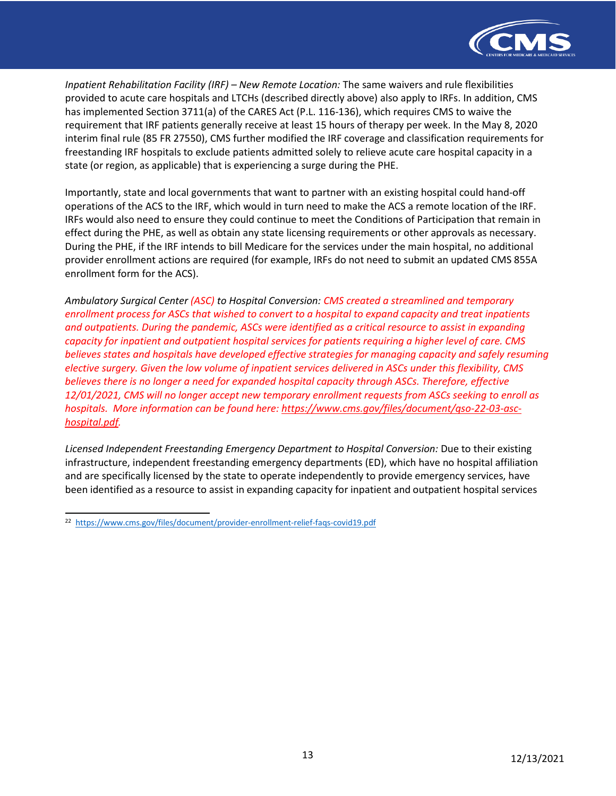

*Inpatient Rehabilitation Facility (IRF) – New Remote Location:* The same waivers and rule flexibilities provided to acute care hospitals and LTCHs (described directly above) also apply to IRFs. In addition, CMS has implemented Section 3711(a) of the CARES Act (P.L. 116-136), which requires CMS to waive the requirement that IRF patients generally receive at least 15 hours of therapy per week. In the May 8, 2020 interim final rule (85 FR 27550), CMS further modified the IRF coverage and classification requirements for freestanding IRF hospitals to exclude patients admitted solely to relieve acute care hospital capacity in a state (or region, as applicable) that is experiencing a surge during the PHE.

Importantly, state and local governments that want to partner with an existing hospital could hand-off operations of the ACS to the IRF, which would in turn need to make the ACS a remote location of the IRF. IRFs would also need to ensure they could continue to meet the Conditions of Participation that remain in effect during the PHE, as well as obtain any state licensing requirements or other approvals as necessary. During the PHE, if the IRF intends to bill Medicare for the services under the main hospital, no additional provider enrollment actions are required (for example, IRFs do not need to submit an updated CMS 855A enrollment form for the ACS).

*Ambulatory Surgical Center (ASC) to Hospital Conversion: CMS created a streamlined and temporary enrollment process for ASCs that wished to convert to a hospital to expand capacity and treat inpatients and outpatients. During the pandemic, ASCs were identified as a critical resource to assist in expanding capacity for inpatient and outpatient hospital services for patients requiring a higher level of care. CMS believes states and hospitals have developed effective strategies for managing capacity and safely resuming elective surgery. Given the low volume of inpatient services delivered in ASCs under this flexibility, CMS believes there is no longer a need for expanded hospital capacity through ASCs. Therefore, effective 12/01/2021, CMS will no longer accept new temporary enrollment requests from ASCs seeking to enroll as hospitals. More information can be found here: [https://www.cms.gov/files/document/qso-22-03-asc](https://www.cms.gov/files/document/qso-22-03-asc-hospital.pdf)[hospital.pdf.](https://www.cms.gov/files/document/qso-22-03-asc-hospital.pdf)*

*Licensed Independent Freestanding Emergency Department to Hospital Conversion:* Due to their existing infrastructure, independent freestanding emergency departments (ED), which have no hospital affiliation and are specifically licensed by the state to operate independently to provide emergency services, have been identified as a resource to assist in expanding capacity for inpatient and outpatient hospital services

<sup>22</sup> <https://www.cms.gov/files/document/provider-enrollment-relief-faqs-covid19.pdf>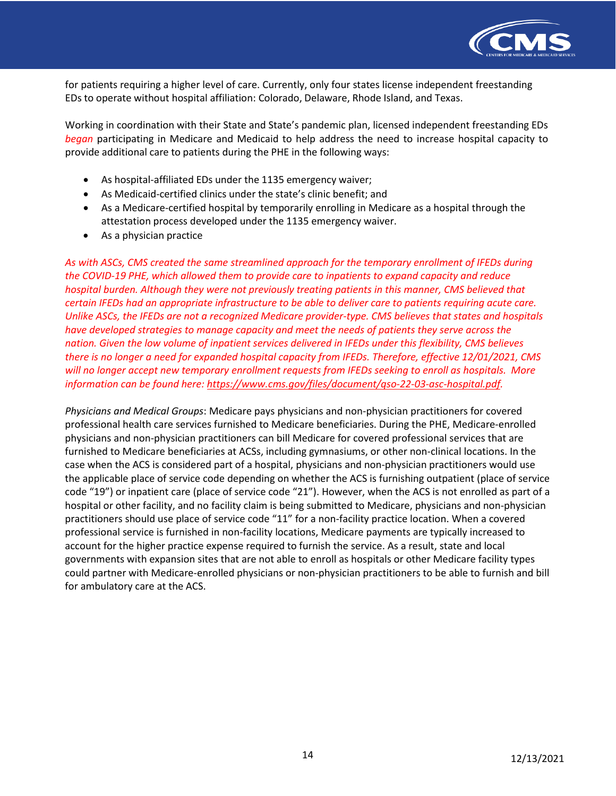

for patients requiring a higher level of care. Currently, only four states license independent freestanding EDs to operate without hospital affiliation: Colorado, Delaware, Rhode Island, and Texas.

Working in coordination with their State and State's pandemic plan, licensed independent freestanding EDs *began* participating in Medicare and Medicaid to help address the need to increase hospital capacity to provide additional care to patients during the PHE in the following ways:

- As hospital-affiliated EDs under the 1135 emergency waiver;
- As Medicaid-certified clinics under the state's clinic benefit; and
- As a Medicare-certified hospital by temporarily enrolling in Medicare as a hospital through the attestation process developed under the 1135 emergency waiver.
- As a physician practice

*As with ASCs, CMS created the same streamlined approach for the temporary enrollment of IFEDs during the COVID-19 PHE, which allowed them to provide care to inpatients to expand capacity and reduce hospital burden. Although they were not previously treating patients in this manner, CMS believed that certain IFEDs had an appropriate infrastructure to be able to deliver care to patients requiring acute care. Unlike ASCs, the IFEDs are not a recognized Medicare provider-type. CMS believes that states and hospitals have developed strategies to manage capacity and meet the needs of patients they serve across the nation. Given the low volume of inpatient services delivered in IFEDs under this flexibility, CMS believes there is no longer a need for expanded hospital capacity from IFEDs. Therefore, effective 12/01/2021, CMS will no longer accept new temporary enrollment requests from IFEDs seeking to enroll as hospitals. More information can be found here[: https://www.cms.gov/files/document/qso-22-03-asc-hospital.pdf.](https://www.cms.gov/files/document/qso-22-03-asc-hospital.pdf)*

*Physicians and Medical Groups*: Medicare pays physicians and non-physician practitioners for covered professional health care services furnished to Medicare beneficiaries. During the PHE, Medicare-enrolled physicians and non-physician practitioners can bill Medicare for covered professional services that are furnished to Medicare beneficiaries at ACSs, including gymnasiums, or other non-clinical locations. In the case when the ACS is considered part of a hospital, physicians and non-physician practitioners would use the applicable place of service code depending on whether the ACS is furnishing outpatient (place of service code "19") or inpatient care (place of service code "21"). However, when the ACS is not enrolled as part of a hospital or other facility, and no facility claim is being submitted to Medicare, physicians and non-physician practitioners should use place of service code "11" for a non-facility practice location. When a covered professional service is furnished in non-facility locations, Medicare payments are typically increased to account for the higher practice expense required to furnish the service. As a result, state and local governments with expansion sites that are not able to enroll as hospitals or other Medicare facility types could partner with Medicare-enrolled physicians or non-physician practitioners to be able to furnish and bill for ambulatory care at the ACS.